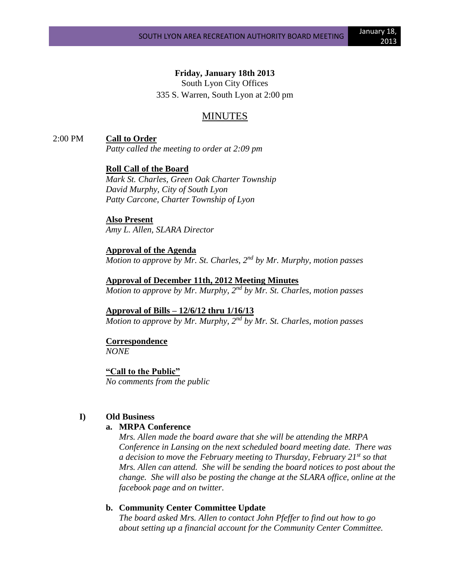## **Friday, January 18th 2013**

South Lyon City Offices 335 S. Warren, South Lyon at 2:00 pm

## MINUTES

2:00 PM **Call to Order**

*Patty called the meeting to order at 2:09 pm*

**Roll Call of the Board** *Mark St. Charles, Green Oak Charter Township David Murphy, City of South Lyon Patty Carcone, Charter Township of Lyon*

**Also Present** *Amy L. Allen, SLARA Director*

**Approval of the Agenda** *Motion to approve by Mr. St. Charles, 2nd by Mr. Murphy, motion passes*

**Approval of December 11th, 2012 Meeting Minutes** *Motion to approve by Mr. Murphy, 2nd by Mr. St. Charles, motion passes*

**Approval of Bills – 12/6/12 thru 1/16/13** *Motion to approve by Mr. Murphy, 2nd by Mr. St. Charles, motion passes*

**Correspondence** *NONE*

**"Call to the Public"**

*No comments from the public*

## **I) Old Business**

## **a. MRPA Conference**

*Mrs. Allen made the board aware that she will be attending the MRPA Conference in Lansing on the next scheduled board meeting date. There was a decision to move the February meeting to Thursday, February 21st so that Mrs. Allen can attend. She will be sending the board notices to post about the change. She will also be posting the change at the SLARA office, online at the facebook page and on twitter.*

## **b. Community Center Committee Update**

*The board asked Mrs. Allen to contact John Pfeffer to find out how to go about setting up a financial account for the Community Center Committee.*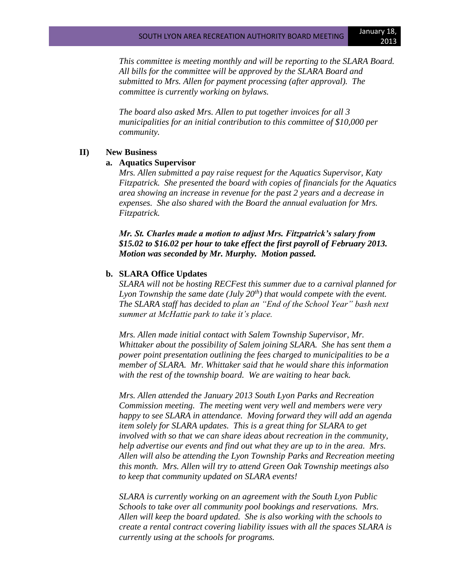*This committee is meeting monthly and will be reporting to the SLARA Board. All bills for the committee will be approved by the SLARA Board and submitted to Mrs. Allen for payment processing (after approval). The committee is currently working on bylaws.* 

*The board also asked Mrs. Allen to put together invoices for all 3 municipalities for an initial contribution to this committee of \$10,000 per community.*

#### **II) New Business**

### **a. Aquatics Supervisor**

*Mrs. Allen submitted a pay raise request for the Aquatics Supervisor, Katy Fitzpatrick. She presented the board with copies of financials for the Aquatics area showing an increase in revenue for the past 2 years and a decrease in expenses. She also shared with the Board the annual evaluation for Mrs. Fitzpatrick.* 

*Mr. St. Charles made a motion to adjust Mrs. Fitzpatrick's salary from \$15.02 to \$16.02 per hour to take effect the first payroll of February 2013. Motion was seconded by Mr. Murphy. Motion passed.*

### **b. SLARA Office Updates**

*SLARA will not be hosting RECFest this summer due to a carnival planned for Lyon Township the same date (July 20th) that would compete with the event. The SLARA staff has decided to plan an "End of the School Year" bash next summer at McHattie park to take it's place.*

*Mrs. Allen made initial contact with Salem Township Supervisor, Mr. Whittaker about the possibility of Salem joining SLARA. She has sent them a power point presentation outlining the fees charged to municipalities to be a member of SLARA. Mr. Whittaker said that he would share this information with the rest of the township board. We are waiting to hear back.*

*Mrs. Allen attended the January 2013 South Lyon Parks and Recreation Commission meeting. The meeting went very well and members were very happy to see SLARA in attendance. Moving forward they will add an agenda item solely for SLARA updates. This is a great thing for SLARA to get involved with so that we can share ideas about recreation in the community, help advertise our events and find out what they are up to in the area. Mrs. Allen will also be attending the Lyon Township Parks and Recreation meeting this month. Mrs. Allen will try to attend Green Oak Township meetings also to keep that community updated on SLARA events!*

*SLARA is currently working on an agreement with the South Lyon Public Schools to take over all community pool bookings and reservations. Mrs. Allen will keep the board updated. She is also working with the schools to create a rental contract covering liability issues with all the spaces SLARA is currently using at the schools for programs.*